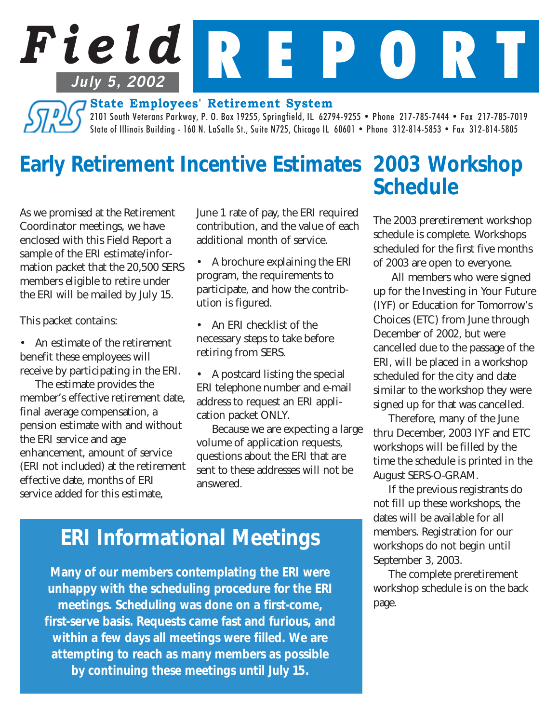# *Field* R E P O R T **July 5, 2002**

**State Employees' Retirement System**

2101 South Veterans Parkway, P. O. Box 19255, Springfield, IL 62794-9255 • Phone 217-785-7444 • Fax 217-785-7019 State of Illinois Building - 160 N. LaSalle St., Suite N725, Chicago IL 60601 • Phone 312-814-5853 • Fax 312-814-5805

## *Early Retirement Incentive Estimates 2003 Workshop*

As we promised at the Retirement Coordinator meetings, we have enclosed with this Field Report a sample of the ERI estimate/information packet that the 20,500 SERS members eligible to retire under the ERI will be mailed by July 15.

This packet contains:

• An estimate of the retirement benefit these employees will receive by participating in the ERI.

The estimate provides the member's effective retirement date, final average compensation, a pension estimate with and without the ERI service and age enhancement, amount of service (ERI not included) at the retirement effective date, months of ERI service added for this estimate,

June 1 rate of pay, the ERI required contribution, and the value of each additional month of service.

• A brochure explaining the ERI program, the requirements to participate, and how the contribution is figured.

• An ERI checklist of the necessary steps to take before retiring from SERS.

• A postcard listing the special ERI telephone number and e-mail address to request an ERI application packet ONLY.

Because we are expecting a large volume of application requests, questions about the ERI that are sent to these addresses will not be answered.

# *Schedule*

The 2003 preretirement workshop schedule is complete. Workshops scheduled for the first five months of 2003 are open to everyone.

 All members who were signed up for the Investing in Your Future (IYF) or Education for Tomorrow's Choices (ETC) from June through December of 2002, but were cancelled due to the passage of the ERI, will be placed in a workshop scheduled for the city and date similar to the workshop they were signed up for that was cancelled.

Therefore, many of the June thru December, 2003 IYF and ETC workshops will be filled by the time the schedule is printed in the August SERS-O-GRAM.

If the previous registrants do not fill up these workshops, the dates will be available for all members. Registration for our workshops do not begin until September 3, 2003.

The complete preretirement workshop schedule is on the back page.

## *ERI Informational Meetings*

*Many of our members contemplating the ERI were unhappy with the scheduling procedure for the ERI meetings. Scheduling was done on a first-come, first-serve basis. Requests came fast and furious, and within a few days all meetings were filled. We are attempting to reach as many members as possible by continuing these meetings until July 15.*